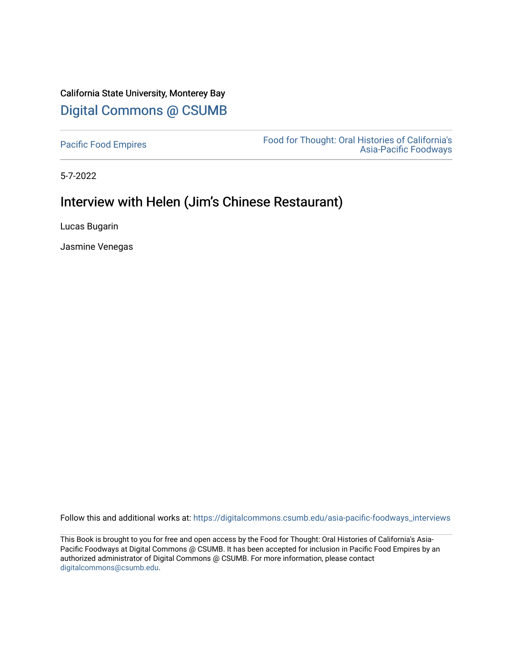# California State University, Monterey Bay [Digital Commons @ CSUMB](https://digitalcommons.csumb.edu/)

[Pacific Food Empires](https://digitalcommons.csumb.edu/asia-pacific-foodways_interviews) Food for Thought: Oral Histories of California's [Asia-Pacific Foodways](https://digitalcommons.csumb.edu/asia-pacific-foodways) 

5-7-2022

# Interview with Helen (Jim's Chinese Restaurant)

Lucas Bugarin

Jasmine Venegas

Follow this and additional works at: [https://digitalcommons.csumb.edu/asia-pacific-foodways\\_interviews](https://digitalcommons.csumb.edu/asia-pacific-foodways_interviews?utm_source=digitalcommons.csumb.edu%2Fasia-pacific-foodways_interviews%2F18&utm_medium=PDF&utm_campaign=PDFCoverPages) 

This Book is brought to you for free and open access by the Food for Thought: Oral Histories of California's Asia-Pacific Foodways at Digital Commons @ CSUMB. It has been accepted for inclusion in Pacific Food Empires by an authorized administrator of Digital Commons @ CSUMB. For more information, please contact [digitalcommons@csumb.edu](mailto:digitalcommons@csumb.edu).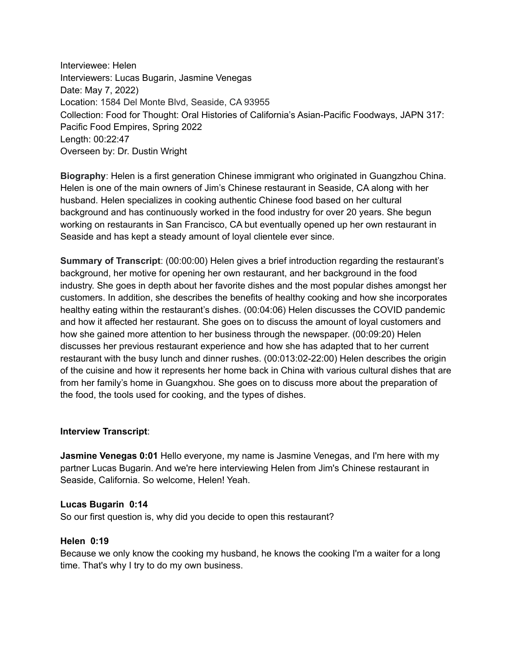Interviewee: Helen Interviewers: Lucas Bugarin, Jasmine Venegas Date: May 7, 2022) Location: 1584 Del Monte Blvd, Seaside, CA 93955 Collection: Food for Thought: Oral Histories of California's Asian-Pacific Foodways, JAPN 317: Pacific Food Empires, Spring 2022 Length: 00:22:47 Overseen by: Dr. Dustin Wright

**Biography**: Helen is a first generation Chinese immigrant who originated in Guangzhou China. Helen is one of the main owners of Jim's Chinese restaurant in Seaside, CA along with her husband. Helen specializes in cooking authentic Chinese food based on her cultural background and has continuously worked in the food industry for over 20 years. She begun working on restaurants in San Francisco, CA but eventually opened up her own restaurant in Seaside and has kept a steady amount of loyal clientele ever since.

**Summary of Transcript**: (00:00:00) Helen gives a brief introduction regarding the restaurant's background, her motive for opening her own restaurant, and her background in the food industry. She goes in depth about her favorite dishes and the most popular dishes amongst her customers. In addition, she describes the benefits of healthy cooking and how she incorporates healthy eating within the restaurant's dishes. (00:04:06) Helen discusses the COVID pandemic and how it affected her restaurant. She goes on to discuss the amount of loyal customers and how she gained more attention to her business through the newspaper. (00:09:20) Helen discusses her previous restaurant experience and how she has adapted that to her current restaurant with the busy lunch and dinner rushes. (00:013:02-22:00) Helen describes the origin of the cuisine and how it represents her home back in China with various cultural dishes that are from her family's home in Guangxhou. She goes on to discuss more about the preparation of the food, the tools used for cooking, and the types of dishes.

#### **Interview Transcript**:

**Jasmine Venegas 0:01** Hello everyone, my name is Jasmine Venegas, and I'm here with my partner Lucas Bugarin. And we're here interviewing Helen from Jim's Chinese restaurant in Seaside, California. So welcome, Helen! Yeah.

#### **Lucas Bugarin 0:14**

So our first question is, why did you decide to open this restaurant?

#### **Helen 0:19**

Because we only know the cooking my husband, he knows the cooking I'm a waiter for a long time. That's why I try to do my own business.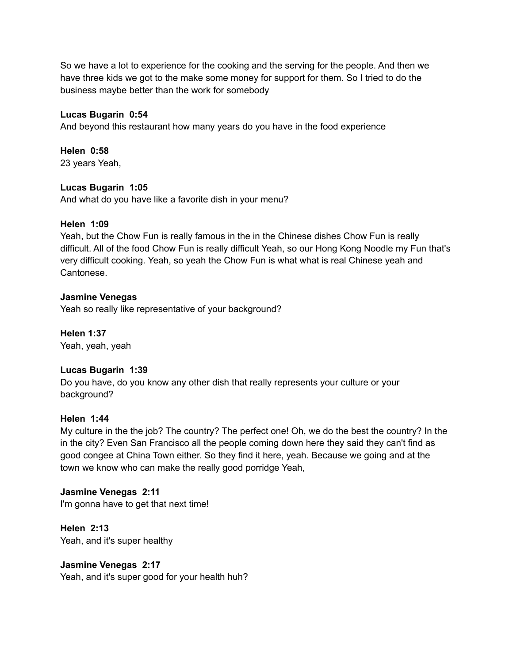So we have a lot to experience for the cooking and the serving for the people. And then we have three kids we got to the make some money for support for them. So I tried to do the business maybe better than the work for somebody

# **Lucas Bugarin 0:54**

And beyond this restaurant how many years do you have in the food experience

#### **Helen 0:58**

23 years Yeah,

#### **Lucas Bugarin 1:05**

And what do you have like a favorite dish in your menu?

#### **Helen 1:09**

Yeah, but the Chow Fun is really famous in the in the Chinese dishes Chow Fun is really difficult. All of the food Chow Fun is really difficult Yeah, so our Hong Kong Noodle my Fun that's very difficult cooking. Yeah, so yeah the Chow Fun is what what is real Chinese yeah and Cantonese.

## **Jasmine Venegas**

Yeah so really like representative of your background?

**Helen 1:37** Yeah, yeah, yeah

#### **Lucas Bugarin 1:39**

Do you have, do you know any other dish that really represents your culture or your background?

#### **Helen 1:44**

My culture in the the job? The country? The perfect one! Oh, we do the best the country? In the in the city? Even San Francisco all the people coming down here they said they can't find as good congee at China Town either. So they find it here, yeah. Because we going and at the town we know who can make the really good porridge Yeah,

# **Jasmine Venegas 2:11**

I'm gonna have to get that next time!

**Helen 2:13** Yeah, and it's super healthy

# **Jasmine Venegas 2:17**

Yeah, and it's super good for your health huh?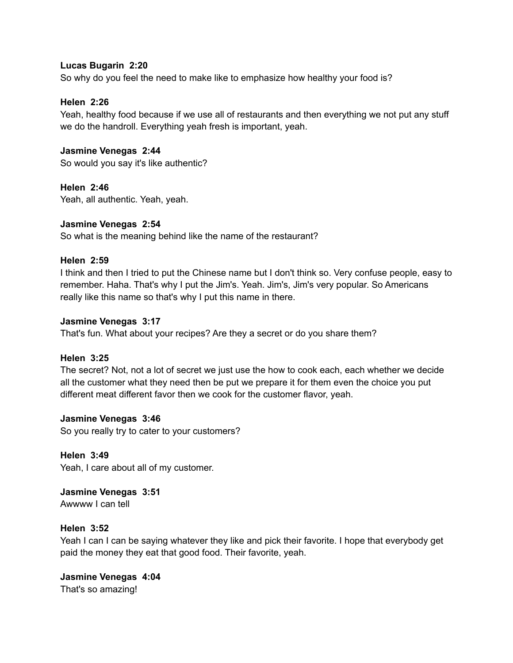# **Lucas Bugarin 2:20**

So why do you feel the need to make like to emphasize how healthy your food is?

# **Helen 2:26**

Yeah, healthy food because if we use all of restaurants and then everything we not put any stuff we do the handroll. Everything yeah fresh is important, yeah.

# **Jasmine Venegas 2:44**

So would you say it's like authentic?

**Helen 2:46** Yeah, all authentic. Yeah, yeah.

## **Jasmine Venegas 2:54**

So what is the meaning behind like the name of the restaurant?

## **Helen 2:59**

I think and then I tried to put the Chinese name but I don't think so. Very confuse people, easy to remember. Haha. That's why I put the Jim's. Yeah. Jim's, Jim's very popular. So Americans really like this name so that's why I put this name in there.

#### **Jasmine Venegas 3:17**

That's fun. What about your recipes? Are they a secret or do you share them?

# **Helen 3:25**

The secret? Not, not a lot of secret we just use the how to cook each, each whether we decide all the customer what they need then be put we prepare it for them even the choice you put different meat different favor then we cook for the customer flavor, yeah.

#### **Jasmine Venegas 3:46**

So you really try to cater to your customers?

# **Helen 3:49**

Yeah, I care about all of my customer.

**Jasmine Venegas 3:51** Awwww I can tell

#### **Helen 3:52**

Yeah I can I can be saying whatever they like and pick their favorite. I hope that everybody get paid the money they eat that good food. Their favorite, yeah.

# **Jasmine Venegas 4:04**

That's so amazing!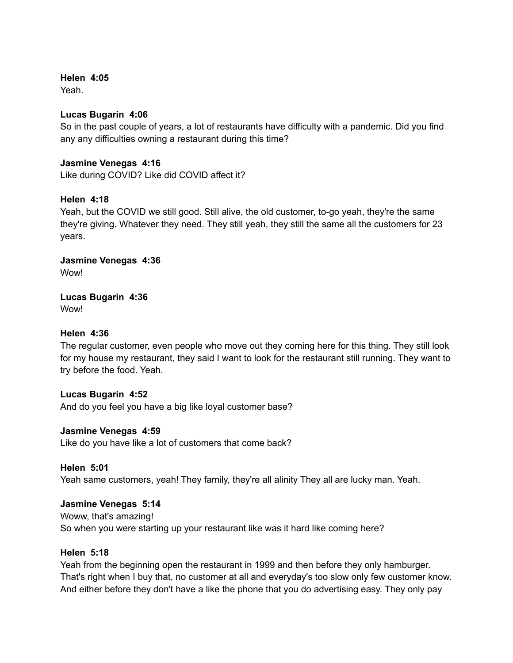**Helen 4:05**

Yeah.

# **Lucas Bugarin 4:06**

So in the past couple of years, a lot of restaurants have difficulty with a pandemic. Did you find any any difficulties owning a restaurant during this time?

# **Jasmine Venegas 4:16**

Like during COVID? Like did COVID affect it?

# **Helen 4:18**

Yeah, but the COVID we still good. Still alive, the old customer, to-go yeah, they're the same they're giving. Whatever they need. They still yeah, they still the same all the customers for 23 years.

**Jasmine Venegas 4:36** Wow!

**Lucas Bugarin 4:36** Wow!

# **Helen 4:36**

The regular customer, even people who move out they coming here for this thing. They still look for my house my restaurant, they said I want to look for the restaurant still running. They want to try before the food. Yeah.

# **Lucas Bugarin 4:52**

And do you feel you have a big like loyal customer base?

# **Jasmine Venegas 4:59**

Like do you have like a lot of customers that come back?

**Helen 5:01** Yeah same customers, yeah! They family, they're all alinity They all are lucky man. Yeah.

# **Jasmine Venegas 5:14**

Woww, that's amazing! So when you were starting up your restaurant like was it hard like coming here?

# **Helen 5:18**

Yeah from the beginning open the restaurant in 1999 and then before they only hamburger. That's right when I buy that, no customer at all and everyday's too slow only few customer know. And either before they don't have a like the phone that you do advertising easy. They only pay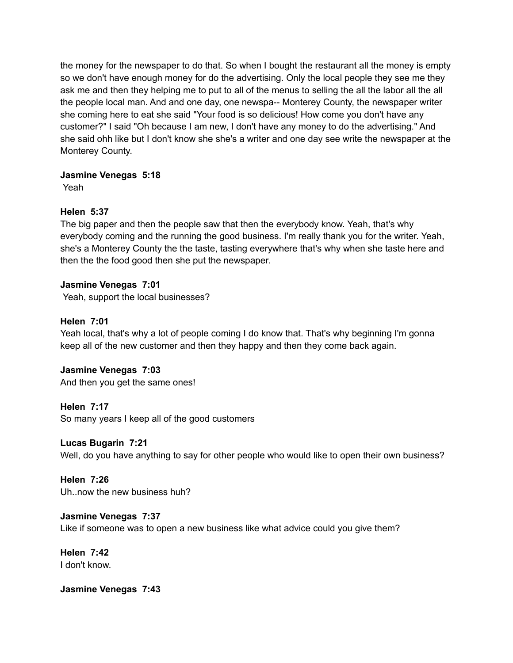the money for the newspaper to do that. So when I bought the restaurant all the money is empty so we don't have enough money for do the advertising. Only the local people they see me they ask me and then they helping me to put to all of the menus to selling the all the labor all the all the people local man. And and one day, one newspa-- Monterey County, the newspaper writer she coming here to eat she said "Your food is so delicious! How come you don't have any customer?" I said "Oh because I am new, I don't have any money to do the advertising." And she said ohh like but I don't know she she's a writer and one day see write the newspaper at the Monterey County.

# **Jasmine Venegas 5:18**

Yeah

# **Helen 5:37**

The big paper and then the people saw that then the everybody know. Yeah, that's why everybody coming and the running the good business. I'm really thank you for the writer. Yeah, she's a Monterey County the the taste, tasting everywhere that's why when she taste here and then the the food good then she put the newspaper.

# **Jasmine Venegas 7:01**

Yeah, support the local businesses?

# **Helen 7:01**

Yeah local, that's why a lot of people coming I do know that. That's why beginning I'm gonna keep all of the new customer and then they happy and then they come back again.

# **Jasmine Venegas 7:03**

And then you get the same ones!

# **Helen 7:17**

So many years I keep all of the good customers

# **Lucas Bugarin 7:21**

Well, do you have anything to say for other people who would like to open their own business?

# **Helen 7:26** Uh..now the new business huh?

**Jasmine Venegas 7:37** Like if someone was to open a new business like what advice could you give them?

**Helen 7:42** I don't know.

**Jasmine Venegas 7:43**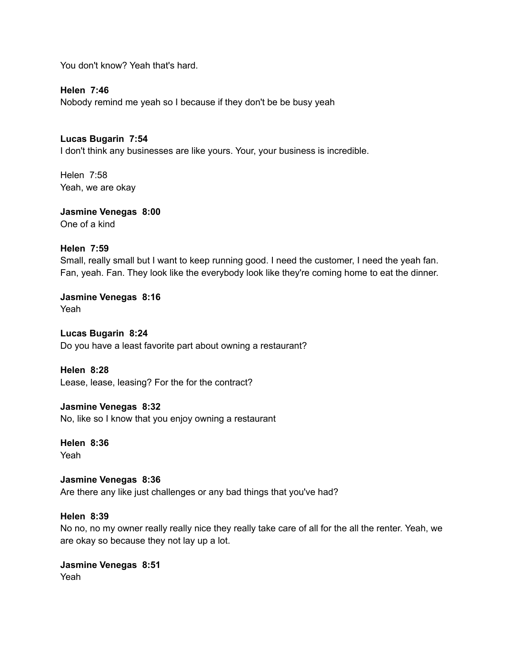You don't know? Yeah that's hard.

**Helen 7:46** Nobody remind me yeah so I because if they don't be be busy yeah

**Lucas Bugarin 7:54**

I don't think any businesses are like yours. Your, your business is incredible.

Helen 7:58 Yeah, we are okay

**Jasmine Venegas 8:00** One of a kind

# **Helen 7:59**

Small, really small but I want to keep running good. I need the customer, I need the yeah fan. Fan, yeah. Fan. They look like the everybody look like they're coming home to eat the dinner.

**Jasmine Venegas 8:16** Yeah

**Lucas Bugarin 8:24** Do you have a least favorite part about owning a restaurant?

**Helen 8:28** Lease, lease, leasing? For the for the contract?

**Jasmine Venegas 8:32**

No, like so I know that you enjoy owning a restaurant

**Helen 8:36** Yeah

**Jasmine Venegas 8:36** Are there any like just challenges or any bad things that you've had?

# **Helen 8:39**

No no, no my owner really really nice they really take care of all for the all the renter. Yeah, we are okay so because they not lay up a lot.

**Jasmine Venegas 8:51** Yeah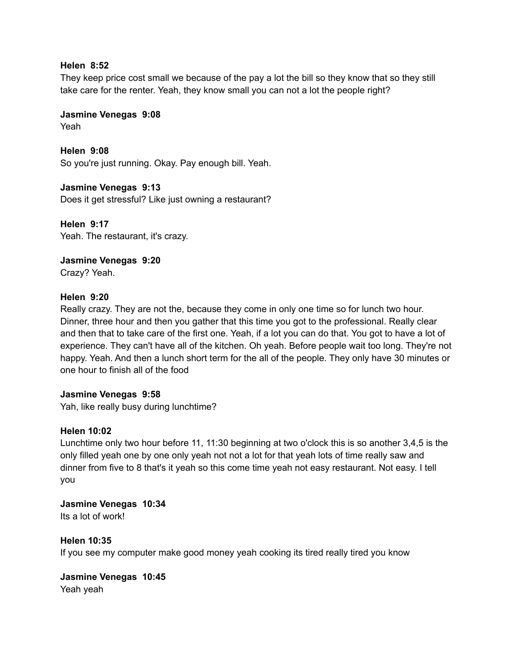## **Helen 8:52**

They keep price cost small we because of the pay a lot the bill so they know that so they still take care for the renter. Yeah, they know small you can not a lot the people right?

**Jasmine Venegas 9:08**

Yeah

**Helen 9:08** So you're just running. Okay. Pay enough bill. Yeah.

**Jasmine Venegas 9:13** Does it get stressful? Like just owning a restaurant?

**Helen 9:17** Yeah. The restaurant, it's crazy.

**Jasmine Venegas 9:20** Crazy? Yeah.

# **Helen 9:20**

Really crazy. They are not the, because they come in only one time so for lunch two hour. Dinner, three hour and then you gather that this time you got to the professional. Really clear and then that to take care of the first one. Yeah, if a lot you can do that. You got to have a lot of experience. They can't have all of the kitchen. Oh yeah. Before people wait too long. They're not happy. Yeah. And then a lunch short term for the all of the people. They only have 30 minutes or one hour to finish all of the food

# **Jasmine Venegas 9:58**

Yah, like really busy during lunchtime?

# **Helen 10:02**

Lunchtime only two hour before 11, 11:30 beginning at two o'clock this is so another 3,4,5 is the only filled yeah one by one only yeah not not a lot for that yeah lots of time really saw and dinner from five to 8 that's it yeah so this come time yeah not easy restaurant. Not easy. I tell you

**Jasmine Venegas 10:34** Its a lot of work!

# **Helen 10:35**

If you see my computer make good money yeah cooking its tired really tired you know

**Jasmine Venegas 10:45** Yeah yeah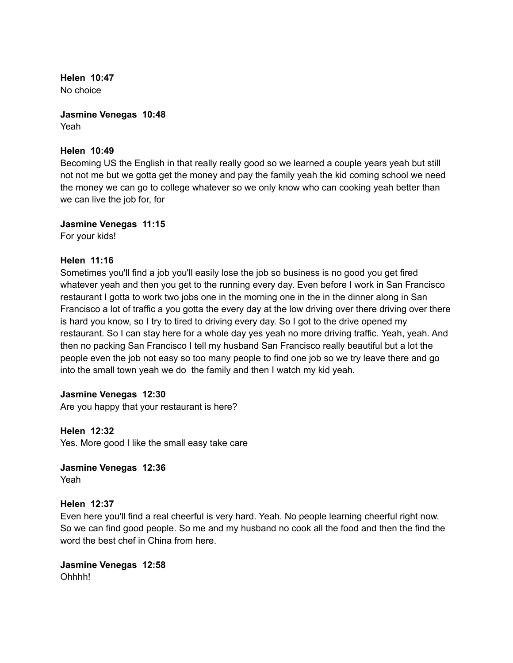**Helen 10:47** No choice

**Jasmine Venegas 10:48** Yeah

# **Helen 10:49**

Becoming US the English in that really really good so we learned a couple years yeah but still not not me but we gotta get the money and pay the family yeah the kid coming school we need the money we can go to college whatever so we only know who can cooking yeah better than we can live the job for, for

#### **Jasmine Venegas 11:15**

For your kids!

## **Helen 11:16**

Sometimes you'll find a job you'll easily lose the job so business is no good you get fired whatever yeah and then you get to the running every day. Even before I work in San Francisco restaurant I gotta to work two jobs one in the morning one in the in the dinner along in San Francisco a lot of traffic a you gotta the every day at the low driving over there driving over there is hard you know, so I try to tired to driving every day. So I got to the drive opened my restaurant. So I can stay here for a whole day yes yeah no more driving traffic. Yeah, yeah. And then no packing San Francisco I tell my husband San Francisco really beautiful but a lot the people even the job not easy so too many people to find one job so we try leave there and go into the small town yeah we do the family and then I watch my kid yeah.

#### **Jasmine Venegas 12:30**

Are you happy that your restaurant is here?

**Helen 12:32** Yes. More good I like the small easy take care

**Jasmine Venegas 12:36** Yeah

# **Helen 12:37**

Even here you'll find a real cheerful is very hard. Yeah. No people learning cheerful right now. So we can find good people. So me and my husband no cook all the food and then the find the word the best chef in China from here.

**Jasmine Venegas 12:58** Ohhhh!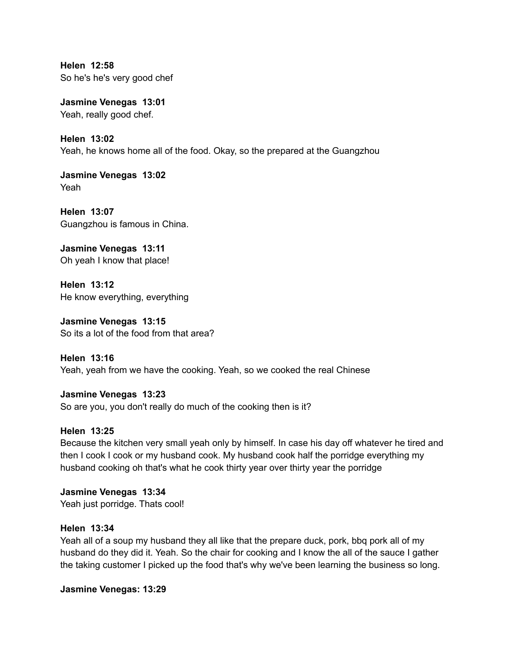**Helen 12:58** So he's he's very good chef

**Jasmine Venegas 13:01** Yeah, really good chef.

**Helen 13:02** Yeah, he knows home all of the food. Okay, so the prepared at the Guangzhou

**Jasmine Venegas 13:02** Yeah

**Helen 13:07** Guangzhou is famous in China.

**Jasmine Venegas 13:11** Oh yeah I know that place!

**Helen 13:12** He know everything, everything

**Jasmine Venegas 13:15** So its a lot of the food from that area?

**Helen 13:16** Yeah, yeah from we have the cooking. Yeah, so we cooked the real Chinese

**Jasmine Venegas 13:23** So are you, you don't really do much of the cooking then is it?

# **Helen 13:25**

Because the kitchen very small yeah only by himself. In case his day off whatever he tired and then I cook I cook or my husband cook. My husband cook half the porridge everything my husband cooking oh that's what he cook thirty year over thirty year the porridge

**Jasmine Venegas 13:34** Yeah just porridge. Thats cool!

# **Helen 13:34**

Yeah all of a soup my husband they all like that the prepare duck, pork, bbq pork all of my husband do they did it. Yeah. So the chair for cooking and I know the all of the sauce I gather the taking customer I picked up the food that's why we've been learning the business so long.

**Jasmine Venegas: 13:29**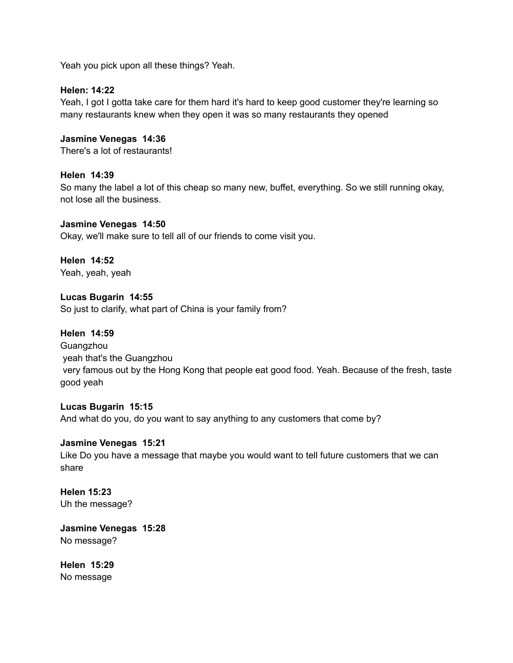Yeah you pick upon all these things? Yeah.

## **Helen: 14:22**

Yeah, I got I gotta take care for them hard it's hard to keep good customer they're learning so many restaurants knew when they open it was so many restaurants they opened

# **Jasmine Venegas 14:36**

There's a lot of restaurants!

# **Helen 14:39**

So many the label a lot of this cheap so many new, buffet, everything. So we still running okay, not lose all the business.

## **Jasmine Venegas 14:50**

Okay, we'll make sure to tell all of our friends to come visit you.

## **Helen 14:52** Yeah, yeah, yeah

**Lucas Bugarin 14:55** So just to clarify, what part of China is your family from?

# **Helen 14:59**

**Guangzhou** yeah that's the Guangzhou very famous out by the Hong Kong that people eat good food. Yeah. Because of the fresh, taste good yeah

#### **Lucas Bugarin 15:15**

And what do you, do you want to say anything to any customers that come by?

#### **Jasmine Venegas 15:21**

Like Do you have a message that maybe you would want to tell future customers that we can share

## **Helen 15:23** Uh the message?

**Jasmine Venegas 15:28** No message?

**Helen 15:29** No message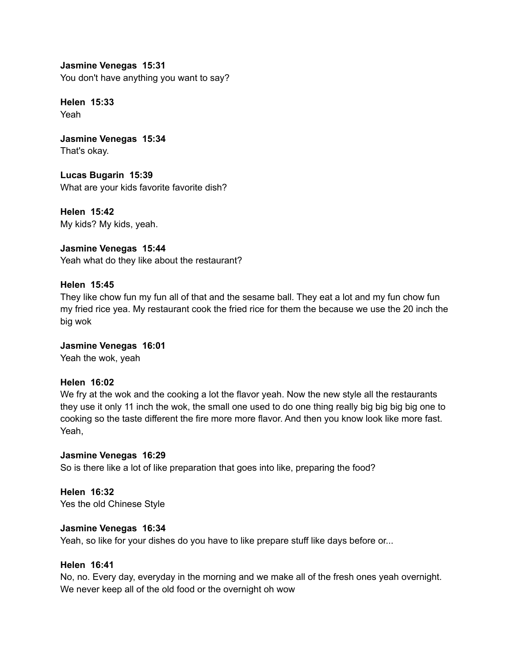**Jasmine Venegas 15:31** You don't have anything you want to say?

**Helen 15:33** Yeah

**Jasmine Venegas 15:34** That's okay.

**Lucas Bugarin 15:39** What are your kids favorite favorite dish?

**Helen 15:42** My kids? My kids, yeah.

**Jasmine Venegas 15:44** Yeah what do they like about the restaurant?

# **Helen 15:45**

They like chow fun my fun all of that and the sesame ball. They eat a lot and my fun chow fun my fried rice yea. My restaurant cook the fried rice for them the because we use the 20 inch the big wok

**Jasmine Venegas 16:01** Yeah the wok, yeah

# **Helen 16:02**

We fry at the wok and the cooking a lot the flavor yeah. Now the new style all the restaurants they use it only 11 inch the wok, the small one used to do one thing really big big big big one to cooking so the taste different the fire more more flavor. And then you know look like more fast. Yeah,

# **Jasmine Venegas 16:29**

So is there like a lot of like preparation that goes into like, preparing the food?

**Helen 16:32** Yes the old Chinese Style

# **Jasmine Venegas 16:34**

Yeah, so like for your dishes do you have to like prepare stuff like days before or...

# **Helen 16:41**

No, no. Every day, everyday in the morning and we make all of the fresh ones yeah overnight. We never keep all of the old food or the overnight oh wow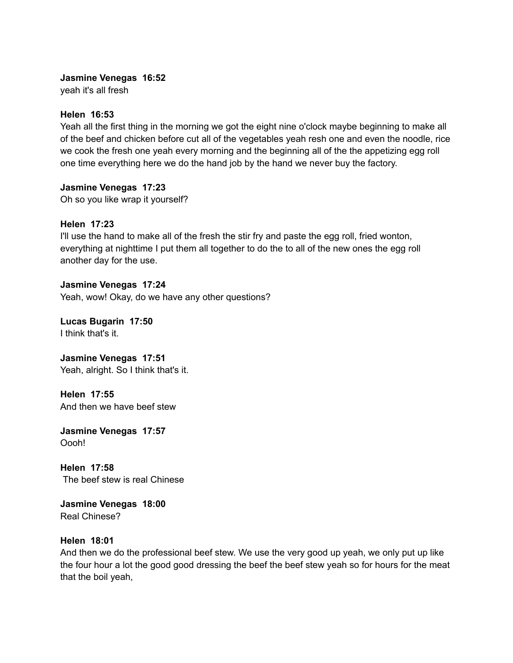# **Jasmine Venegas 16:52**

yeah it's all fresh

# **Helen 16:53**

Yeah all the first thing in the morning we got the eight nine o'clock maybe beginning to make all of the beef and chicken before cut all of the vegetables yeah resh one and even the noodle, rice we cook the fresh one yeah every morning and the beginning all of the the appetizing egg roll one time everything here we do the hand job by the hand we never buy the factory.

# **Jasmine Venegas 17:23**

Oh so you like wrap it yourself?

# **Helen 17:23**

I'll use the hand to make all of the fresh the stir fry and paste the egg roll, fried wonton, everything at nighttime I put them all together to do the to all of the new ones the egg roll another day for the use.

## **Jasmine Venegas 17:24** Yeah, wow! Okay, do we have any other questions?

**Lucas Bugarin 17:50**

I think that's it.

**Jasmine Venegas 17:51** Yeah, alright. So I think that's it.

**Helen 17:55** And then we have beef stew

**Jasmine Venegas 17:57** Oooh!

**Helen 17:58** The beef stew is real Chinese

**Jasmine Venegas 18:00** Real Chinese?

# **Helen 18:01**

And then we do the professional beef stew. We use the very good up yeah, we only put up like the four hour a lot the good good dressing the beef the beef stew yeah so for hours for the meat that the boil yeah,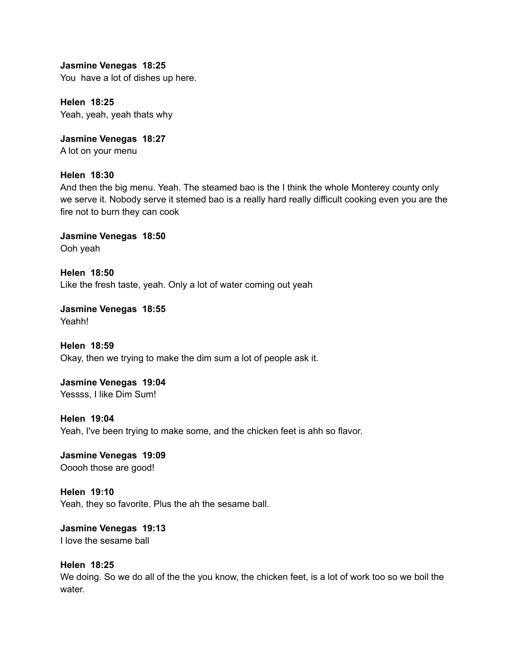**Jasmine Venegas 18:25** You have a lot of dishes up here.

**Helen 18:25** Yeah, yeah, yeah thats why

**Jasmine Venegas 18:27** A lot on your menu

# **Helen 18:30**

And then the big menu. Yeah. The steamed bao is the I think the whole Monterey county only we serve it. Nobody serve it stemed bao is a really hard really difficult cooking even you are the fire not to burn they can cook

**Jasmine Venegas 18:50** Ooh yeah

**Helen 18:50** Like the fresh taste, yeah. Only a lot of water coming out yeah

**Jasmine Venegas 18:55** Yeahh!

**Helen 18:59** Okay, then we trying to make the dim sum a lot of people ask it.

**Jasmine Venegas 19:04** Yessss, I like Dim Sum!

**Helen 19:04**

Yeah, I've been trying to make some, and the chicken feet is ahh so flavor.

**Jasmine Venegas 19:09** Ooooh those are good!

**Helen 19:10** Yeah, they so favorite. Plus the ah the sesame ball.

**Jasmine Venegas 19:13** I love the sesame ball

**Helen 18:25** We doing. So we do all of the the you know, the chicken feet, is a lot of work too so we boil the water.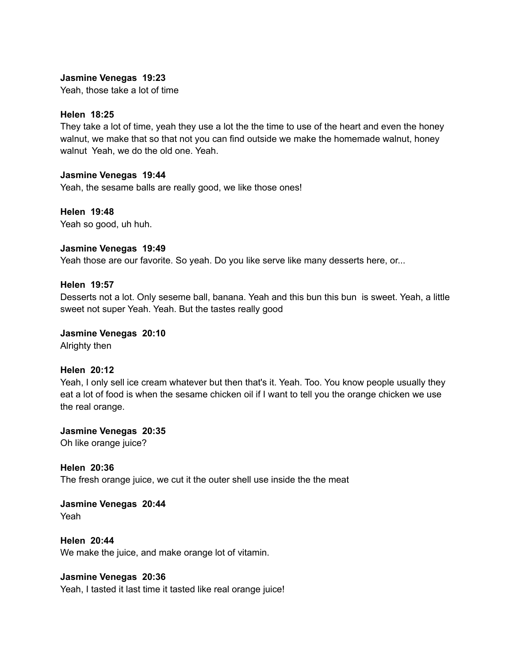# **Jasmine Venegas 19:23**

Yeah, those take a lot of time

## **Helen 18:25**

They take a lot of time, yeah they use a lot the the time to use of the heart and even the honey walnut, we make that so that not you can find outside we make the homemade walnut, honey walnut Yeah, we do the old one. Yeah.

#### **Jasmine Venegas 19:44**

Yeah, the sesame balls are really good, we like those ones!

## **Helen 19:48**

Yeah so good, uh huh.

## **Jasmine Venegas 19:49**

Yeah those are our favorite. So yeah. Do you like serve like many desserts here, or...

## **Helen 19:57**

Desserts not a lot. Only seseme ball, banana. Yeah and this bun this bun is sweet. Yeah, a little sweet not super Yeah. Yeah. But the tastes really good

# **Jasmine Venegas 20:10**

Alrighty then

#### **Helen 20:12**

Yeah, I only sell ice cream whatever but then that's it. Yeah. Too. You know people usually they eat a lot of food is when the sesame chicken oil if I want to tell you the orange chicken we use the real orange.

**Jasmine Venegas 20:35** Oh like orange juice?

**Helen 20:36** The fresh orange juice, we cut it the outer shell use inside the the meat

**Jasmine Venegas 20:44** Yeah

**Helen 20:44** We make the juice, and make orange lot of vitamin.

# **Jasmine Venegas 20:36**

Yeah, I tasted it last time it tasted like real orange juice!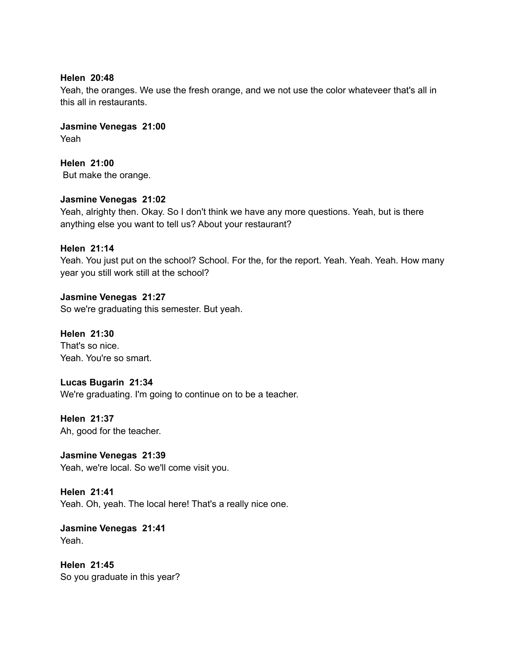## **Helen 20:48**

Yeah, the oranges. We use the fresh orange, and we not use the color whateveer that's all in this all in restaurants.

**Jasmine Venegas 21:00** Yeah

**Helen 21:00** But make the orange.

## **Jasmine Venegas 21:02**

Yeah, alrighty then. Okay. So I don't think we have any more questions. Yeah, but is there anything else you want to tell us? About your restaurant?

# **Helen 21:14**

Yeah. You just put on the school? School. For the, for the report. Yeah. Yeah. Yeah. How many year you still work still at the school?

**Jasmine Venegas 21:27** So we're graduating this semester. But yeah.

**Helen 21:30** That's so nice. Yeah. You're so smart.

**Lucas Bugarin 21:34** We're graduating. I'm going to continue on to be a teacher.

**Helen 21:37** Ah, good for the teacher.

**Jasmine Venegas 21:39** Yeah, we're local. So we'll come visit you.

**Helen 21:41** Yeah. Oh, yeah. The local here! That's a really nice one.

**Jasmine Venegas 21:41** Yeah.

**Helen 21:45** So you graduate in this year?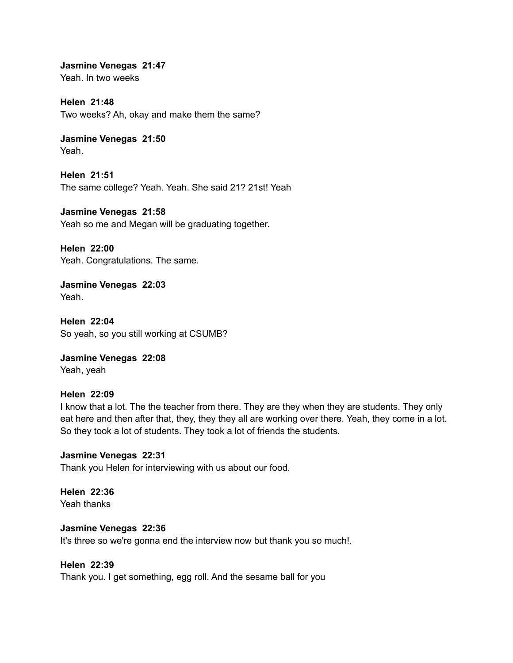**Jasmine Venegas 21:47** Yeah. In two weeks

**Helen 21:48** Two weeks? Ah, okay and make them the same?

**Jasmine Venegas 21:50** Yeah.

**Helen 21:51** The same college? Yeah. Yeah. She said 21? 21st! Yeah

**Jasmine Venegas 21:58** Yeah so me and Megan will be graduating together.

**Helen 22:00** Yeah. Congratulations. The same.

**Jasmine Venegas 22:03** Yeah.

**Helen 22:04** So yeah, so you still working at CSUMB?

**Jasmine Venegas 22:08** Yeah, yeah

# **Helen 22:09**

I know that a lot. The the teacher from there. They are they when they are students. They only eat here and then after that, they, they they all are working over there. Yeah, they come in a lot. So they took a lot of students. They took a lot of friends the students.

# **Jasmine Venegas 22:31**

Thank you Helen for interviewing with us about our food.

#### **Helen 22:36** Yeah thanks

#### **Jasmine Venegas 22:36**

It's three so we're gonna end the interview now but thank you so much!.

# **Helen 22:39**

Thank you. I get something, egg roll. And the sesame ball for you